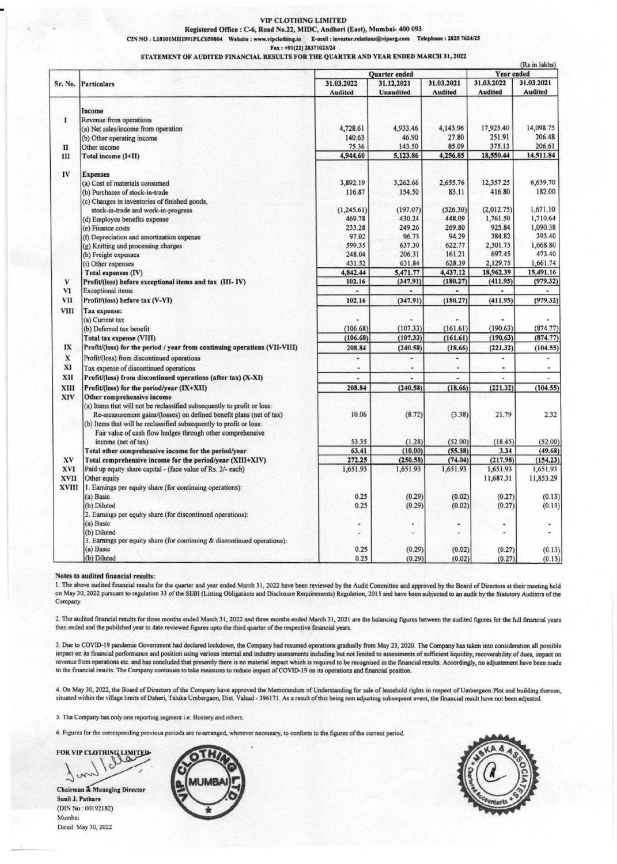#### VIP CLOTHING LIMITED

Rqistered Office : C-6, Road No.22, MIDC, Andheri (East), Mumbai- 400 093 CIN NO : L18101MH1991PLC059804 Website : www.vipclothing.in E-mail : investor.relations@viporg.com Telephone : 2825 7624/25

Fax: +91(22) 28371023/24

STATEMENT OF AUDITED FINANCIAL RESULTS FOR THE QUARTER AND YEAR ENDED MARCH 31, 2022

|              |                                                                                                                                                                                                                                                     | Quarter ended  |                          |                | (Rs in lakhs)<br>Year ended |                          |  |
|--------------|-----------------------------------------------------------------------------------------------------------------------------------------------------------------------------------------------------------------------------------------------------|----------------|--------------------------|----------------|-----------------------------|--------------------------|--|
| Sr. No.      | <b>Particulars</b>                                                                                                                                                                                                                                  | 31.03.2022     | 31.03.2021<br>31.12.2021 |                |                             | 31.03.2022<br>31.03.2021 |  |
|              |                                                                                                                                                                                                                                                     | <b>Audited</b> | <b>Unaudited</b>         | <b>Audited</b> | <b>Audited</b>              | <b>Audited</b>           |  |
|              |                                                                                                                                                                                                                                                     |                |                          |                |                             |                          |  |
| 1            | Income<br>Revenue from operations                                                                                                                                                                                                                   |                |                          |                |                             |                          |  |
|              | (a) Net sales/income from operation                                                                                                                                                                                                                 | 4,728.61       | 4,933.46                 | 4,143.96       | 17,923.40                   | 14,098.75                |  |
|              | (b) Other operating income                                                                                                                                                                                                                          | 140.63         | 46.90                    | 27.80          | 251.91                      | 206.48                   |  |
| $_{\rm II}$  | Other income                                                                                                                                                                                                                                        | 75.36          | 143.50                   | 85.09          | 375.13                      | 206.61                   |  |
| Ш            | Total income (I+II)                                                                                                                                                                                                                                 | 4,944.60       | 5,123.86                 | 4,256.85       | 18,550.44                   | 14,511.84                |  |
| IV           | <b>Expenses</b>                                                                                                                                                                                                                                     |                |                          |                |                             |                          |  |
|              | (a) Cost of materials consumed                                                                                                                                                                                                                      | 3,892.19       | 3,262.66                 | 2,655.76       | 12,357.25                   | 6,639.70                 |  |
|              | (b) Purchases of stock-in-trade                                                                                                                                                                                                                     | 116.87         | 154.50                   | 83.11          | 416.80                      | 182.00                   |  |
|              | (c) Changes in inventories of finished goods,                                                                                                                                                                                                       |                |                          |                |                             |                          |  |
|              | stock-in-trade and work-in-progress                                                                                                                                                                                                                 | (1, 245.61)    | (197.07)                 | (526.30)       | (2,012.75)                  | 1,671.10                 |  |
|              | (d) Employee benefits expense                                                                                                                                                                                                                       | 469.78         | 430.24                   | 448.09         | 1,761.50                    | 1,710.64                 |  |
|              | (e) Finance costs                                                                                                                                                                                                                                   | 233.28         | 249.26                   | 269.80         | 925.84                      | 1.090.38                 |  |
|              | (f) Depreciation and amortization expense                                                                                                                                                                                                           | 97.02          | 96.73                    | 94.29          | 384.82                      | 393.40                   |  |
|              | (g) Knitting and processing charges                                                                                                                                                                                                                 | 599.35         | 637,30                   | 622.77         | 2,301.73                    | 1,668.80                 |  |
|              | (h) Freight expenses                                                                                                                                                                                                                                | 248.04         | 206.31                   | 161.21         | 697.45                      | 473.40                   |  |
|              | (i) Other expenses                                                                                                                                                                                                                                  | 431.52         | 631.84                   | 628.39         | 2,129.75                    | 1,661.74                 |  |
|              | Total expenses (IV)                                                                                                                                                                                                                                 | 4,842.44       | 5,471.77                 | 4,437.12       | 18,962.39                   | 15,491.16                |  |
| V            | Profit/(loss) before exceptional items and tax (III-IV)                                                                                                                                                                                             | 102.16         | (347.91)                 | (180.27)       | (411.95)                    | (979.32)                 |  |
| VI           | <b>Exceptional</b> items                                                                                                                                                                                                                            | $\blacksquare$ | ٠                        | ٠              |                             | ٠                        |  |
| <b>VII</b>   | Profit/(loss) before tax (V-VI)                                                                                                                                                                                                                     | 102.16         | (347.91)                 | (180.27)       | (411.95)                    | (979.32)                 |  |
| <b>VIII</b>  | Tax expense:                                                                                                                                                                                                                                        |                |                          |                |                             |                          |  |
|              | (a) Current tax                                                                                                                                                                                                                                     |                |                          |                |                             |                          |  |
|              | (b) Deferred tax benefit                                                                                                                                                                                                                            | (106.68)       | (107.33)                 | (161.61)       | (190.63)                    | (874.77)                 |  |
|              | <b>Total tax expense (VIII)</b>                                                                                                                                                                                                                     | (106.68)       | (107.33)                 | (161.61)       | (190.63)                    | (874.77)                 |  |
| IX           | Profit/(loss) for the period / year from continuing operations (VII-VIII)                                                                                                                                                                           | 208.84         | (240.58)                 | (18.66)        | (221.32)                    | (104.55)                 |  |
| $\mathbf x$  | Profit/(loss) from discontinued operations                                                                                                                                                                                                          | ۰              | ۰                        | ٠              | ä,                          |                          |  |
| XI           | Tax expense of discontinued operations                                                                                                                                                                                                              |                |                          | ä,             | ٠                           | ٠                        |  |
| XII          | Profit/(loss) from discontinued operations (after tax) (X-XI)                                                                                                                                                                                       |                |                          |                |                             |                          |  |
| XIII         | Profit/(loss) for the period/year (IX+XII)                                                                                                                                                                                                          | 208.84         | (240.58)                 | (18.66)        | (221.32)                    | (104.55)                 |  |
| XIV          | Other comprehensive income<br>(a) Items that will not be reclassified subsequently to profit or loss:<br>Re-measurement gains/(losses) on defined benefit plans (net of tax)<br>(b) Items that will be reclassified subsequently to profit or loss: | 10.06          | (8.72)                   | (3.38)         | 21.79                       | 2.32                     |  |
|              | Fair value of cash flow hedges through other comprehensive<br>income (net of tax)                                                                                                                                                                   | 53.35          | (1.28)                   | (52.00)        | (18.45)                     | (52.00)                  |  |
|              | Total other comprehensive income for the period/year                                                                                                                                                                                                | 63.41          | (10.00)                  | (55.38)        | 3.34                        | (49.68)                  |  |
| XV           | Total comprehensive income for the period/year (XIII+XIV)                                                                                                                                                                                           | 272.25         | (250.58)                 | (74.04)        | (217.98)                    | (154.23)                 |  |
| <b>XVI</b>   | Paid up equity share capital - (face value of Rs. 2/- each)                                                                                                                                                                                         | 1,651.93       | 1,651.93                 | 1,651.93       | 1,651.93                    | 1,651.93                 |  |
| <b>XVII</b>  | Other equity                                                                                                                                                                                                                                        |                |                          |                | 11,687.31                   | 11,853.29                |  |
| <b>XVIII</b> | 1. Earnings per equity share (for continuing operations):                                                                                                                                                                                           |                |                          |                |                             |                          |  |
|              | (a) Basic                                                                                                                                                                                                                                           | 0.25           | (0.29)                   | (0.02)         | (0.27)                      | (0.13)                   |  |
|              | (b) Diluted                                                                                                                                                                                                                                         | 0.25           | (0.29)                   | (0.02)         | (0.27)                      | (0.13)                   |  |
|              | 2. Earnings per equity share (for discontinued operations):                                                                                                                                                                                         |                |                          |                |                             |                          |  |
|              | (a) Basic                                                                                                                                                                                                                                           | ٠              |                          | ٠              |                             |                          |  |
|              | (b) Diluted                                                                                                                                                                                                                                         | ٠              |                          | ٠              |                             | ÷                        |  |
|              | 3. Earnings per equity share (for continuing & discontinued operations):                                                                                                                                                                            |                |                          |                |                             |                          |  |
|              | (a) Basic                                                                                                                                                                                                                                           | 0.25           | (0.29)                   | (0.02)         | (0.27)                      | (0.13)                   |  |
|              | (b) Diluted                                                                                                                                                                                                                                         | 0.25           | (0.29)                   | (0.02)         | (0.27)                      | (0.13)                   |  |

### Notes to **audited financial** results:

1. The above audited financial results for the quarter and year ended March 31, 2022 have been reviewed by the Audit Committee and approved by the Board of Directors at their meeting held on May 30, 2022 pursuant to regulation 33 of the SEBI (Listing Obligations and Disclosure Requirements) Regulation, 2015 **and** have been subjected to an audit by the Statutory Auditors of the Company.

2. The audited financial results for three months ended March 31, 2022 and three months ended March 31, 2021 are the balancing figures between the audited figures for the full financial years then ended and the pubilshed year to date reviewed figures upto the third quarter of the respective financial years.

3. Due to COVID-19 pandemic Government had declared lockdown, the Company had resumed operations gradually from May 23, 2020. The Company has taken into consideration all possible impact on its financial performance and position using various internal and industry assessments including but not limited to assessments of sufficient liquidity, recovcnbility of dues, impact on revenue from operations etc. and has concluded that presently there is no material impact which is required to be recognised in the financial results. Accordingly, no adjustement have been made to the financial results. The Company continues to take measures to reduce impact of COVID-19 on its operations and financial position.

4. On May 30, 2022, the Board of Directors of the Company have approved the Memorandum of Understanding for sale of leasehold rights in respect of Umbergaon Plot and building thereon,<br>situated within the village limits of

5. The Company has only one reporting segment i.e. Hosiery and others.

6. Figures for the corresponding previous periods are re-arranged, wherever necessary, to confonn to the figures of the current period.

FOR VIP CLOTHING LIMITED

Chairman & Managing Director<br>Sunil J. Pathare (DIN No.: 00192182) Mumbai Dated. May 30, 2022



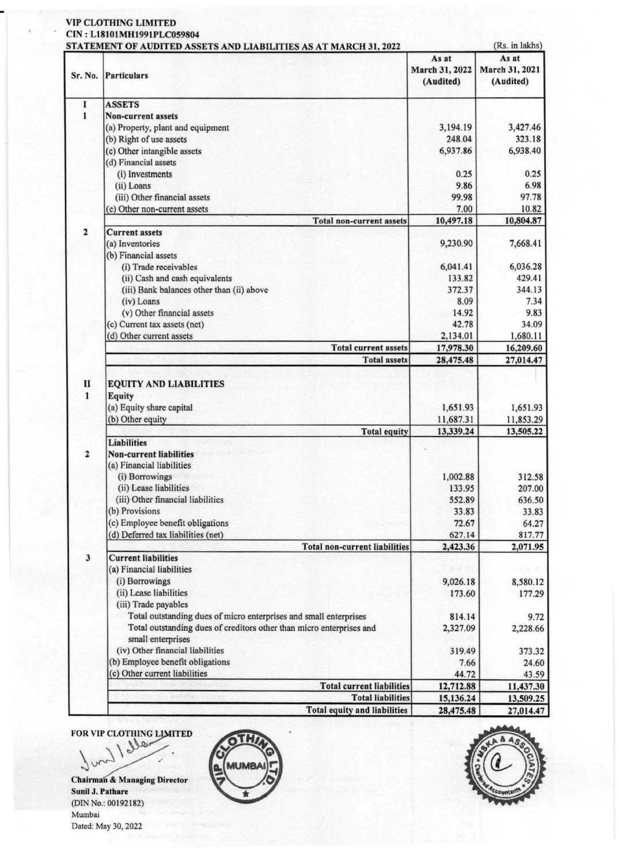# VIP CLOTHING LIMITED

## CIN : L18101MH1991PLC059804

|                              | STATEMENT OF AUDITED ASSETS AND LIABILITIES AS AT MARCH 31, 2022                          |                        |                         |  |  |
|------------------------------|-------------------------------------------------------------------------------------------|------------------------|-------------------------|--|--|
|                              |                                                                                           | As at                  | (Rs. in lakhs)<br>As at |  |  |
| Sr. No.                      | Particulars                                                                               | March 31, 2022         | March 31, 2021          |  |  |
|                              |                                                                                           | (Audited)              | (Audited)               |  |  |
| 1                            | <b>ASSETS</b>                                                                             |                        |                         |  |  |
| $\mathbf{1}$                 | <b>Non-current assets</b>                                                                 |                        |                         |  |  |
|                              | (a) Property, plant and equipment                                                         | 3,194.19               | 3,427.46                |  |  |
|                              | (b) Right of use assets                                                                   | 248.04                 | 323.18                  |  |  |
|                              | (c) Other intangible assets                                                               | 6,937.86               | 6,938.40                |  |  |
|                              | (d) Financial assets                                                                      |                        |                         |  |  |
|                              | (i) Investments                                                                           | 0.25                   | 0.25                    |  |  |
|                              | (ii) Loans                                                                                | 9.86                   | 6.98                    |  |  |
|                              | (iii) Other financial assets                                                              | 99.98                  | 97.78                   |  |  |
|                              | (e) Other non-current assets                                                              | 7.00                   | 10.82                   |  |  |
|                              | <b>Total non-current assets</b>                                                           | 10,497.18              | 10,804.87               |  |  |
| $\overline{\mathbf{c}}$      | <b>Current assets</b>                                                                     |                        |                         |  |  |
|                              | (a) Inventories                                                                           | 9,230.90               | 7,668.41                |  |  |
|                              | (b) Financial assets                                                                      |                        |                         |  |  |
|                              | (i) Trade receivables                                                                     | 6,041.41               | 6,036.28                |  |  |
|                              | (ii) Cash and cash equivalents                                                            | 133.82                 | 429.41                  |  |  |
|                              | (iii) Bank balances other than (ii) above                                                 | 372.37                 | 344.13                  |  |  |
|                              | (iv) Loans                                                                                | 8.09                   | 7.34                    |  |  |
|                              | (v) Other financial assets                                                                | 14.92                  | 9.83                    |  |  |
|                              | (c) Current tax assets (net)                                                              | 42.78                  | 34.09                   |  |  |
|                              | (d) Other current assets                                                                  | 2,134.01               | 1,680.11                |  |  |
|                              | <b>Total current assets</b><br><b>Total assets</b>                                        | 17,978.30<br>28,475.48 | 16,209.60<br>27,014.47  |  |  |
| $\mathbf{I}$<br>$\mathbf{1}$ | <b>EQUITY AND LIABILITIES</b><br><b>Equity</b><br>(a) Equity share capital                | 1,651.93               | 1,651.93                |  |  |
|                              | (b) Other equity                                                                          | 11,687.31              | 11,853.29               |  |  |
|                              | <b>Total equity</b>                                                                       | 13,339.24              | 13,505.22               |  |  |
| $\overline{\mathbf{2}}$      | <b>Liabilities</b><br><b>Non-current liabilities</b>                                      |                        |                         |  |  |
|                              | (a) Financial liabilities                                                                 |                        |                         |  |  |
|                              | (i) Borrowings                                                                            | 1,002.88               | 312.58                  |  |  |
|                              | (ii) Lease liabilities                                                                    | 133.95                 | 207.00                  |  |  |
|                              | (iii) Other financial liabilities                                                         | 552.89                 | 636.50                  |  |  |
|                              | (b) Provisions                                                                            | 33.83                  | 33.83                   |  |  |
|                              | (c) Employee benefit obligations                                                          | 72.67                  | 64.27                   |  |  |
|                              | (d) Deferred tax liabilities (net)                                                        | 627.14                 | 817.77                  |  |  |
|                              | <b>Total non-current liabilities</b>                                                      | 2,423.36               | 2,071.95                |  |  |
| $\mathbf{3}$                 | <b>Current liabilities</b>                                                                |                        |                         |  |  |
|                              | (a) Financial liabilities                                                                 | 1 Spence               |                         |  |  |
|                              | (i) Borrowings                                                                            | 9,026.18               | 8,580.12                |  |  |
|                              | (ii) Lease liabilities                                                                    | 173.60                 | 177.29                  |  |  |
|                              | (iii) Trade payables                                                                      |                        |                         |  |  |
|                              | Total outstanding dues of micro enterprises and small enterprises                         | 814.14                 | 9.72                    |  |  |
|                              | Total outstanding dues of creditors other than micro enterprises and<br>small enterprises | 2,327.09               | 2,228.66                |  |  |
|                              | (iv) Other financial liabilities                                                          | 319.49                 | 373.32                  |  |  |
|                              | (b) Employee benefit obligations                                                          | 7.66                   | 24.60                   |  |  |
|                              | (c) Other current liabilities                                                             | 44.72                  | 43.59                   |  |  |
|                              | <b>Total current liabilities</b>                                                          | 12,712.88              | 11,437.30               |  |  |
|                              | <b>Total liabilities</b>                                                                  | 15,136.24              | 13,509.25               |  |  |
|                              | <b>Total equity and liabilities</b>                                                       | 28,475.48              | 27,014.47               |  |  |

FOR VIP CLOTHING LIMITED

**Chairman & Managing Director Sunil J. Pathare**  (DIN No.: 00192182) Mumbai Dated: May 30, 2022